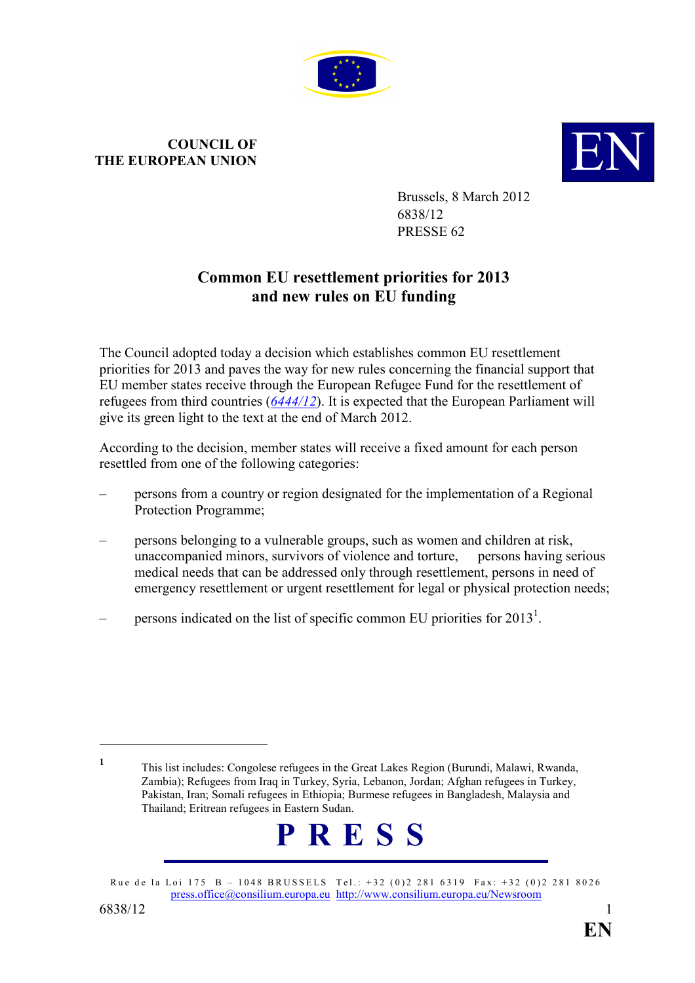

## COUNCIL OF COUNCIL OF COUNCIL OF **EUROPEAN UNION**



Brussels, 8 March 2012 6838/12 PRESSE 62

## Common EU resettlement priorities for 2013 and new rules on EU funding

The Council adopted today a decision which establishes common EU resettlement priorities for 2013 and paves the way for new rules concerning the financial support that EU member states receive through the European Refugee Fund for the resettlement of refugees from third countries  $(6444/12)$  $(6444/12)$  $(6444/12)$ . It is expected that the European Parliament will give its green light to the text at the end of March 2012.

According to the decision, member states will receive a fixed amount for each person resettled from one of the following categories:

- persons from a country or region designated for the implementation of a Regional Protection Programme;
- persons belonging to a vulnerable groups, such as women and children at risk, unaccompanied minors, survivors of violence and torture, persons having serious medical needs that can be addressed only through resettlement, persons in need of emergency resettlement or urgent resettlement for legal or physical protection needs;
- $\blacksquare$  persons indicated on the list of specific common EU priorities for 2013<sup>1</sup>.

<sup>1</sup> This list includes: Congolese refugees in the Great Lakes Region (Burundi, Malawi, Rwanda, Zambia); Refugees from Iraq in Turkey, Syria, Lebanon, Jordan; Afghan refugees in Turkey, Pakistan, Iran; Somali refugees in Ethiopia; Burmese refugees in Bangladesh, Malaysia and Thailand; Eritrean refugees in Eastern Sudan.



Rue de la Loi 175 B – 1048 BRUSSELS Tel.: +32 (0)2 281 6319 Fax: +32 (0)2 281 8026 press.office@consilium.europa.eu http://www.consilium.europa.eu/Newsroom

 $\overline{a}$